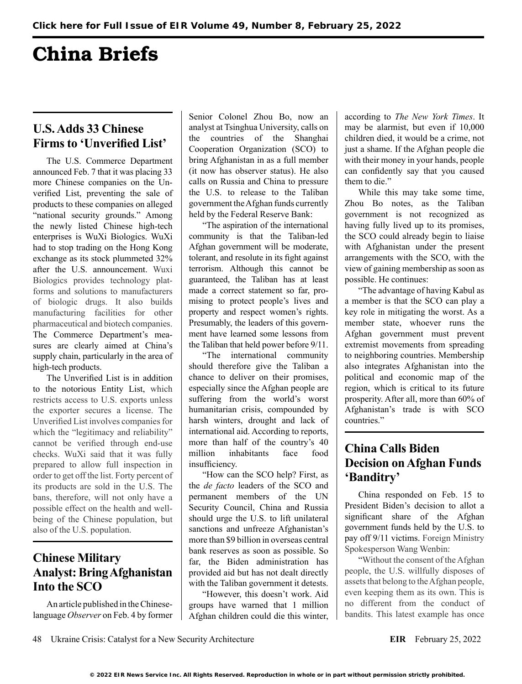# China Briefs

## **U.S. Adds 33 Chinese Firms to 'Unverified List'**

The U.S. Commerce Department announced Feb. 7 that it was placing 33 more Chinese companies on the Unverified List, preventing the sale of products to these companies on alleged "national security grounds." Among the newly listed Chinese high-tech enterprises is WuXi Biologics. WuXi had to stop trading on the Hong Kong exchange as its stock plummeted 32% after the U.S. announcement. Wuxi Biologics provides technology platforms and solutions to manufacturers of biologic drugs. It also builds manufacturing facilities for other pharmaceutical and biotech companies. The Commerce Department's measures are clearly aimed at China's supply chain, particularly in the area of high-tech products.

The Unverified List is in addition to the notorious Entity List, which restricts access to U.S. exports unless the exporter secures a license. The Unverified List involves companies for which the "legitimacy and reliability" cannot be verified through end-use checks. WuXi said that it was fully prepared to allow full inspection in order to get off the list. Forty percent of its products are sold in the U.S. The bans, therefore, will not only have a possible effect on the health and wellbeing of the Chinese population, but also of the U.S. population.

## **Chinese Military Analyst: Bring Afghanistan Into the SCO**

An article published in the Chineselanguage *Observer* on Feb. 4 by former Senior Colonel Zhou Bo, now an analyst at Tsinghua University, calls on the countries of the Shanghai Cooperation Organization (SCO) to bring Afghanistan in as a full member (it now has observer status). He also calls on Russia and China to pressure the U.S. to release to the Taliban government the Afghan funds currently held by the Federal Reserve Bank:

"The aspiration of the international community is that the Taliban-led Afghan government will be moderate, tolerant, and resolute in its fight against terrorism. Although this cannot be guaranteed, the Taliban has at least made a correct statement so far, promising to protect people's lives and property and respect women's rights. Presumably, the leaders of this government have learned some lessons from the Taliban that held power before 9/11.

"The international community should therefore give the Taliban a chance to deliver on their promises, especially since the Afghan people are suffering from the world's worst humanitarian crisis, compounded by harsh winters, drought and lack of international aid. According to reports, more than half of the country's 40 million inhabitants face food insufficiency.

"How can the SCO help? First, as the *de facto* leaders of the SCO and permanent members of the UN Security Council, China and Russia should urge the U.S. to lift unilateral sanctions and unfreeze Afghanistan's more than \$9 billion in overseas central bank reserves as soon as possible. So far, the Biden administration has provided aid but has not dealt directly with the Taliban government it detests.

"However, this doesn't work. Aid groups have warned that 1 million Afghan children could die this winter,

according to *The New York Times*. It may be alarmist, but even if 10,000 children died, it would be a crime, not just a shame. If the Afghan people die with their money in your hands, people can confidently say that you caused them to die."

While this may take some time, Zhou Bo notes, as the Taliban government is not recognized as having fully lived up to its promises, the SCO could already begin to liaise with Afghanistan under the present arrangements with the SCO, with the view of gaining membership as soon as possible. He continues:

"The advantage of having Kabul as a member is that the SCO can play a key role in mitigating the worst. As a member state, whoever runs the Afghan government must prevent extremist movements from spreading to neighboring countries. Membership also integrates Afghanistan into the political and economic map of the region, which is critical to its future prosperity. After all, more than 60% of Afghanistan's trade is with SCO countries."

#### **China Calls Biden Decision on Afghan Funds 'Banditry'**

China responded on Feb. 15 to President Biden's decision to allot a significant share of the Afghan government funds held by the U.S. to pay off 9/11 victims. Foreign Ministry Spokesperson Wang Wenbin:

"Without the consent of the Afghan people, the U.S. willfully disposes of assets that belong to the Afghan people, even keeping them as its own. This is no different from the conduct of bandits. This latest example has once

48 Ukraine Crisis: Catalyst for a New Security Architecture **EIR** February 25, 2022